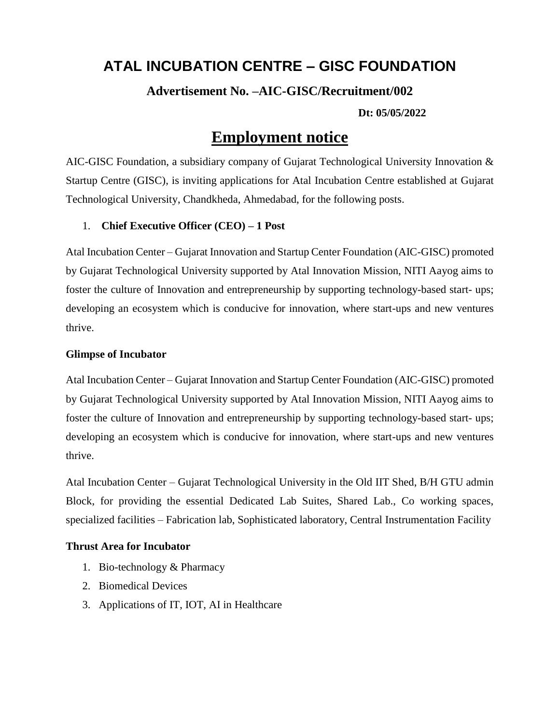# **ATAL INCUBATION CENTRE – GISC FOUNDATION**

## **Advertisement No. –AIC-GISC/Recruitment/002**

#### **Dt: 05/05/2022**

# **Employment notice**

AIC-GISC Foundation, a subsidiary company of Gujarat Technological University Innovation & Startup Centre (GISC), is inviting applications for Atal Incubation Centre established at Gujarat Technological University, Chandkheda, Ahmedabad, for the following posts.

### 1. **Chief Executive Officer (CEO) – 1 Post**

Atal Incubation Center – Gujarat Innovation and Startup Center Foundation (AIC-GISC) promoted by Gujarat Technological University supported by Atal Innovation Mission, NITI Aayog aims to foster the culture of Innovation and entrepreneurship by supporting technology-based start- ups; developing an ecosystem which is conducive for innovation, where start-ups and new ventures thrive.

#### **Glimpse of Incubator**

Atal Incubation Center – Gujarat Innovation and Startup Center Foundation (AIC-GISC) promoted by Gujarat Technological University supported by Atal Innovation Mission, NITI Aayog aims to foster the culture of Innovation and entrepreneurship by supporting technology-based start- ups; developing an ecosystem which is conducive for innovation, where start-ups and new ventures thrive.

Atal Incubation Center – Gujarat Technological University in the Old IIT Shed, B/H GTU admin Block, for providing the essential Dedicated Lab Suites, Shared Lab., Co working spaces, specialized facilities – Fabrication lab, Sophisticated laboratory, Central Instrumentation Facility

#### **Thrust Area for Incubator**

- 1. Bio-technology & Pharmacy
- 2. Biomedical Devices
- 3. Applications of IT, IOT, AI in Healthcare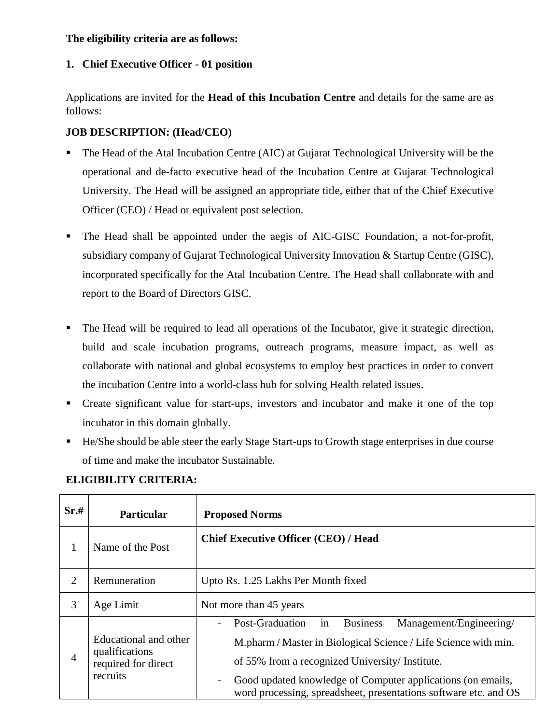#### **The eligibility criteria are as follows:**

## **1. Chief Executive Officer - 01 position**

Applications are invited for the **Head of this Incubation Centre** and details for the same are as follows:

# **JOB DESCRIPTION: (Head/CEO)**

- The Head of the Atal Incubation Centre (AIC) at Gujarat Technological University will be the operational and de-facto executive head of the Incubation Centre at Gujarat Technological University. The Head will be assigned an appropriate title, either that of the Chief Executive Officer (CEO) / Head or equivalent post selection.
- The Head shall be appointed under the aegis of AIC-GISC Foundation, a not-for-profit, subsidiary company of Gujarat Technological University Innovation & Startup Centre (GISC), incorporated specifically for the Atal Incubation Centre. The Head shall collaborate with and report to the Board of Directors GISC.
- The Head will be required to lead all operations of the Incubator, give it strategic direction, build and scale incubation programs, outreach programs, measure impact, as well as collaborate with national and global ecosystems to employ best practices in order to convert the incubation Centre into a world-class hub for solving Health related issues.
- Create significant value for start-ups, investors and incubator and make it one of the top incubator in this domain globally.
- He/She should be able steer the early Stage Start-ups to Growth stage enterprises in due course of time and make the incubator Sustainable.

| Sr.#           | <b>Particular</b>                                                          | <b>Proposed Norms</b>                                                                                                                                                                                                                                                                                                                               |
|----------------|----------------------------------------------------------------------------|-----------------------------------------------------------------------------------------------------------------------------------------------------------------------------------------------------------------------------------------------------------------------------------------------------------------------------------------------------|
| 1              | Name of the Post                                                           | <b>Chief Executive Officer (CEO) / Head</b>                                                                                                                                                                                                                                                                                                         |
| $\overline{2}$ | Remuneration                                                               | Upto Rs. 1.25 Lakhs Per Month fixed                                                                                                                                                                                                                                                                                                                 |
| 3              | Age Limit                                                                  | Not more than 45 years                                                                                                                                                                                                                                                                                                                              |
| 4              | Educational and other<br>qualifications<br>required for direct<br>recruits | in<br>Post-Graduation<br>Management/Engineering/<br><b>Business</b><br>$\overline{a}$<br>M.pharm / Master in Biological Science / Life Science with min.<br>of 55% from a recognized University/ Institute.<br>Good updated knowledge of Computer applications (on emails,<br>-<br>word processing, spreadsheet, presentations software etc. and OS |

# **ELIGIBILITY CRITERIA:**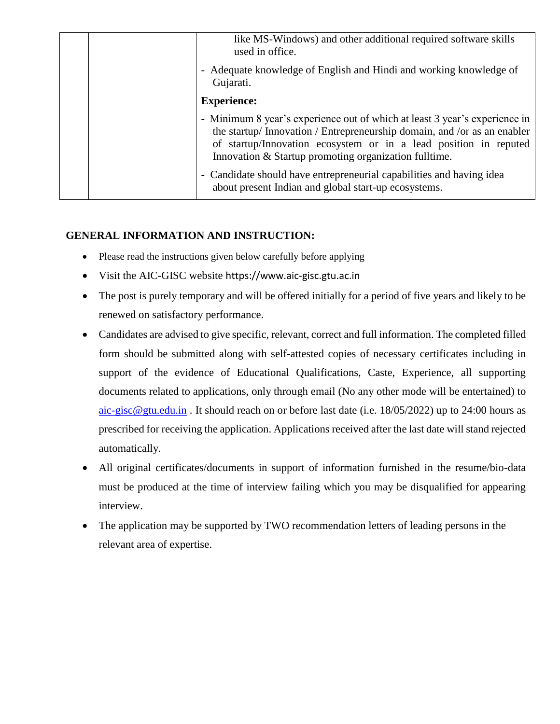|  | like MS-Windows) and other additional required software skills<br>used in office.                                                                                                                                                                                                   |
|--|-------------------------------------------------------------------------------------------------------------------------------------------------------------------------------------------------------------------------------------------------------------------------------------|
|  | - Adequate knowledge of English and Hindi and working knowledge of<br>Gujarati.                                                                                                                                                                                                     |
|  | <b>Experience:</b>                                                                                                                                                                                                                                                                  |
|  | - Minimum 8 year's experience out of which at least 3 year's experience in<br>the startup/ Innovation / Entrepreneurship domain, and /or as an enabler<br>of startup/Innovation ecosystem or in a lead position in reputed<br>Innovation & Startup promoting organization fulltime. |
|  | - Candidate should have entrepreneurial capabilities and having idea<br>about present Indian and global start-up ecosystems.                                                                                                                                                        |

### **GENERAL INFORMATION AND INSTRUCTION:**

- Please read the instructions given below carefully before applying
- Visit the AIC-GISC website https://www.aic-gisc.gtu.ac.in
- The post is purely temporary and will be offered initially for a period of five years and likely to be renewed on satisfactory performance.
- Candidates are advised to give specific, relevant, correct and full information. The completed filled form should be submitted along with self-attested copies of necessary certificates including in support of the evidence of Educational Qualifications, Caste, Experience, all supporting documents related to applications, only through email (No any other mode will be entertained) to  $\frac{\text{aic-gisc@gtu.edu.in}}{\text{auto-gisc@gtu.edu.in}}$  $\frac{\text{aic-gisc@gtu.edu.in}}{\text{auto-gisc@gtu.edu.in}}$  $\frac{\text{aic-gisc@gtu.edu.in}}{\text{auto-gisc@gtu.edu.in}}$ . It should reach on or before last date (i.e. 18/05/2022) up to 24:00 hours as prescribed for receiving the application. Applications received after the last date will stand rejected automatically.
- All original certificates/documents in support of information furnished in the resume/bio-data must be produced at the time of interview failing which you may be disqualified for appearing interview.
- The application may be supported by TWO recommendation letters of leading persons in the relevant area of expertise.